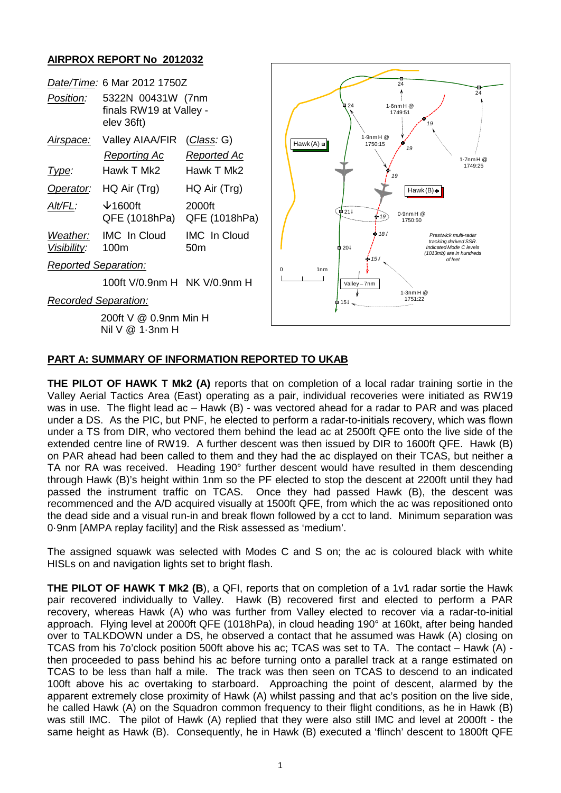## **AIRPROX REPORT No 2012032**



## **PART A: SUMMARY OF INFORMATION REPORTED TO UKAB**

**THE PILOT OF HAWK T Mk2 (A)** reports that on completion of a local radar training sortie in the Valley Aerial Tactics Area (East) operating as a pair, individual recoveries were initiated as RW19 was in use. The flight lead ac – Hawk (B) - was vectored ahead for a radar to PAR and was placed under a DS. As the PIC, but PNF, he elected to perform a radar-to-initials recovery, which was flown under a TS from DIR, who vectored them behind the lead ac at 2500ft QFE onto the live side of the extended centre line of RW19. A further descent was then issued by DIR to 1600ft QFE. Hawk (B) on PAR ahead had been called to them and they had the ac displayed on their TCAS, but neither a TA nor RA was received. Heading 190° further descent would have resulted in them descending through Hawk (B)'s height within 1nm so the PF elected to stop the descent at 2200ft until they had passed the instrument traffic on TCAS. Once they had passed Hawk (B), the descent was recommenced and the A/D acquired visually at 1500ft QFE, from which the ac was repositioned onto the dead side and a visual run-in and break flown followed by a cct to land. Minimum separation was 0·9nm [AMPA replay facility] and the Risk assessed as 'medium'.

The assigned squawk was selected with Modes C and S on; the ac is coloured black with white HISLs on and navigation lights set to bright flash.

**THE PILOT OF HAWK T Mk2 (B**), a QFI, reports that on completion of a 1v1 radar sortie the Hawk pair recovered individually to Valley. Hawk (B) recovered first and elected to perform a PAR recovery, whereas Hawk (A) who was further from Valley elected to recover via a radar-to-initial approach. Flying level at 2000ft QFE (1018hPa), in cloud heading 190° at 160kt, after being handed over to TALKDOWN under a DS, he observed a contact that he assumed was Hawk (A) closing on TCAS from his 7o'clock position 500ft above his ac; TCAS was set to TA. The contact – Hawk (A) then proceeded to pass behind his ac before turning onto a parallel track at a range estimated on TCAS to be less than half a mile. The track was then seen on TCAS to descend to an indicated 100ft above his ac overtaking to starboard. Approaching the point of descent, alarmed by the apparent extremely close proximity of Hawk (A) whilst passing and that ac's position on the live side, he called Hawk (A) on the Squadron common frequency to their flight conditions, as he in Hawk (B) was still IMC. The pilot of Hawk (A) replied that they were also still IMC and level at 2000ft - the same height as Hawk (B). Consequently, he in Hawk (B) executed a 'flinch' descent to 1800ft QFE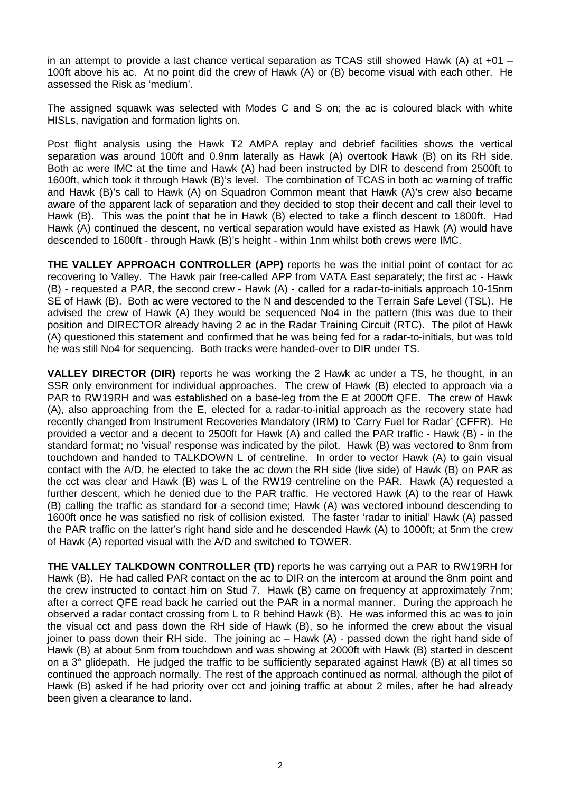in an attempt to provide a last chance vertical separation as TCAS still showed Hawk (A) at  $+01$  – 100ft above his ac. At no point did the crew of Hawk (A) or (B) become visual with each other. He assessed the Risk as 'medium'.

The assigned squawk was selected with Modes C and S on; the ac is coloured black with white HISLs, navigation and formation lights on.

Post flight analysis using the Hawk T2 AMPA replay and debrief facilities shows the vertical separation was around 100ft and 0.9nm laterally as Hawk (A) overtook Hawk (B) on its RH side. Both ac were IMC at the time and Hawk (A) had been instructed by DIR to descend from 2500ft to 1600ft, which took it through Hawk (B)'s level. The combination of TCAS in both ac warning of traffic and Hawk (B)'s call to Hawk (A) on Squadron Common meant that Hawk (A)'s crew also became aware of the apparent lack of separation and they decided to stop their decent and call their level to Hawk (B). This was the point that he in Hawk (B) elected to take a flinch descent to 1800ft. Had Hawk (A) continued the descent, no vertical separation would have existed as Hawk (A) would have descended to 1600ft - through Hawk (B)'s height - within 1nm whilst both crews were IMC.

**THE VALLEY APPROACH CONTROLLER (APP)** reports he was the initial point of contact for ac recovering to Valley. The Hawk pair free-called APP from VATA East separately; the first ac - Hawk (B) - requested a PAR, the second crew - Hawk (A) - called for a radar-to-initials approach 10-15nm SE of Hawk (B). Both ac were vectored to the N and descended to the Terrain Safe Level (TSL). He advised the crew of Hawk (A) they would be sequenced No4 in the pattern (this was due to their position and DIRECTOR already having 2 ac in the Radar Training Circuit (RTC). The pilot of Hawk (A) questioned this statement and confirmed that he was being fed for a radar-to-initials, but was told he was still No4 for sequencing. Both tracks were handed-over to DIR under TS.

**VALLEY DIRECTOR (DIR)** reports he was working the 2 Hawk ac under a TS, he thought, in an SSR only environment for individual approaches. The crew of Hawk (B) elected to approach via a PAR to RW19RH and was established on a base-leg from the E at 2000ft QFE. The crew of Hawk (A), also approaching from the E, elected for a radar-to-initial approach as the recovery state had recently changed from Instrument Recoveries Mandatory (IRM) to 'Carry Fuel for Radar' (CFFR). He provided a vector and a decent to 2500ft for Hawk (A) and called the PAR traffic - Hawk (B) - in the standard format; no 'visual' response was indicated by the pilot. Hawk (B) was vectored to 8nm from touchdown and handed to TALKDOWN L of centreline. In order to vector Hawk (A) to gain visual contact with the A/D, he elected to take the ac down the RH side (live side) of Hawk (B) on PAR as the cct was clear and Hawk (B) was L of the RW19 centreline on the PAR. Hawk (A) requested a further descent, which he denied due to the PAR traffic. He vectored Hawk (A) to the rear of Hawk (B) calling the traffic as standard for a second time; Hawk (A) was vectored inbound descending to 1600ft once he was satisfied no risk of collision existed. The faster 'radar to initial' Hawk (A) passed the PAR traffic on the latter's right hand side and he descended Hawk (A) to 1000ft; at 5nm the crew of Hawk (A) reported visual with the A/D and switched to TOWER.

**THE VALLEY TALKDOWN CONTROLLER (TD)** reports he was carrying out a PAR to RW19RH for Hawk (B). He had called PAR contact on the ac to DIR on the intercom at around the 8nm point and the crew instructed to contact him on Stud 7. Hawk (B) came on frequency at approximately 7nm; after a correct QFE read back he carried out the PAR in a normal manner. During the approach he observed a radar contact crossing from L to R behind Hawk (B). He was informed this ac was to join the visual cct and pass down the RH side of Hawk (B), so he informed the crew about the visual joiner to pass down their RH side. The joining ac – Hawk (A) - passed down the right hand side of Hawk (B) at about 5nm from touchdown and was showing at 2000ft with Hawk (B) started in descent on a 3° glidepath. He judged the traffic to be sufficiently separated against Hawk (B) at all times so continued the approach normally. The rest of the approach continued as normal, although the pilot of Hawk (B) asked if he had priority over cct and joining traffic at about 2 miles, after he had already been given a clearance to land.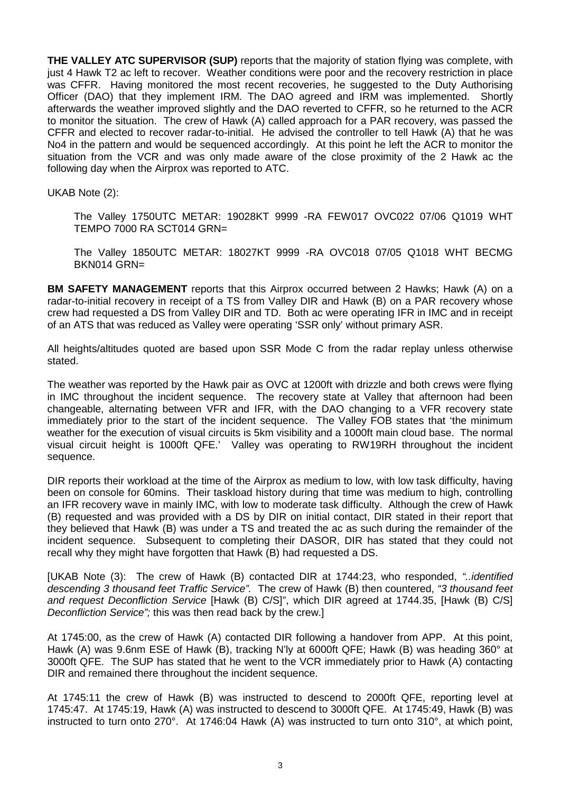**THE VALLEY ATC SUPERVISOR (SUP)** reports that the majority of station flying was complete, with just 4 Hawk T2 ac left to recover. Weather conditions were poor and the recovery restriction in place was CFFR. Having monitored the most recent recoveries, he suggested to the Duty Authorising Officer (DAO) that they implement IRM. The DAO agreed and IRM was implemented. Shortly afterwards the weather improved slightly and the DAO reverted to CFFR, so he returned to the ACR to monitor the situation. The crew of Hawk (A) called approach for a PAR recovery, was passed the CFFR and elected to recover radar-to-initial. He advised the controller to tell Hawk (A) that he was No4 in the pattern and would be sequenced accordingly. At this point he left the ACR to monitor the situation from the VCR and was only made aware of the close proximity of the 2 Hawk ac the following day when the Airprox was reported to ATC.

UKAB Note (2):

The Valley 1750UTC METAR: 19028KT 9999 -RA FEW017 OVC022 07/06 Q1019 WHT TEMPO 7000 RA SCT014 GRN=

The Valley 1850UTC METAR: 18027KT 9999 -RA OVC018 07/05 Q1018 WHT BECMG BKN014 GRN=

**BM SAFETY MANAGEMENT** reports that this Airprox occurred between 2 Hawks; Hawk (A) on a radar-to-initial recovery in receipt of a TS from Valley DIR and Hawk (B) on a PAR recovery whose crew had requested a DS from Valley DIR and TD. Both ac were operating IFR in IMC and in receipt of an ATS that was reduced as Valley were operating 'SSR only' without primary ASR.

All heights/altitudes quoted are based upon SSR Mode C from the radar replay unless otherwise stated.

The weather was reported by the Hawk pair as OVC at 1200ft with drizzle and both crews were flying in IMC throughout the incident sequence. The recovery state at Valley that afternoon had been changeable, alternating between VFR and IFR, with the DAO changing to a VFR recovery state immediately prior to the start of the incident sequence. The Valley FOB states that 'the minimum weather for the execution of visual circuits is 5km visibility and a 1000ft main cloud base. The normal visual circuit height is 1000ft QFE.' Valley was operating to RW19RH throughout the incident sequence.

DIR reports their workload at the time of the Airprox as medium to low, with low task difficulty, having been on console for 60mins. Their taskload history during that time was medium to high, controlling an IFR recovery wave in mainly IMC, with low to moderate task difficulty. Although the crew of Hawk (B) requested and was provided with a DS by DIR on initial contact, DIR stated in their report that they believed that Hawk (B) was under a TS and treated the ac as such during the remainder of the incident sequence. Subsequent to completing their DASOR, DIR has stated that they could not recall why they might have forgotten that Hawk (B) had requested a DS.

[UKAB Note (3): The crew of Hawk (B) contacted DIR at 1744:23, who responded, *"..identified descending 3 thousand feet Traffic Service".* The crew of Hawk (B) then countered, *"3 thousand feet and request Deconfliction Service* [Hawk (B) C/S]", which DIR agreed at 1744.35, [Hawk (B) C/S] *Deconfliction Service";* this was then read back by the crew.]

At 1745:00, as the crew of Hawk (A) contacted DIR following a handover from APP. At this point, Hawk (A) was 9.6nm ESE of Hawk (B), tracking N'ly at 6000ft QFE; Hawk (B) was heading 360° at 3000ft QFE. The SUP has stated that he went to the VCR immediately prior to Hawk (A) contacting DIR and remained there throughout the incident sequence.

At 1745:11 the crew of Hawk (B) was instructed to descend to 2000ft QFE, reporting level at 1745:47. At 1745:19, Hawk (A) was instructed to descend to 3000ft QFE. At 1745:49, Hawk (B) was instructed to turn onto 270°. At 1746:04 Hawk (A) was instructed to turn onto 310°, at which point,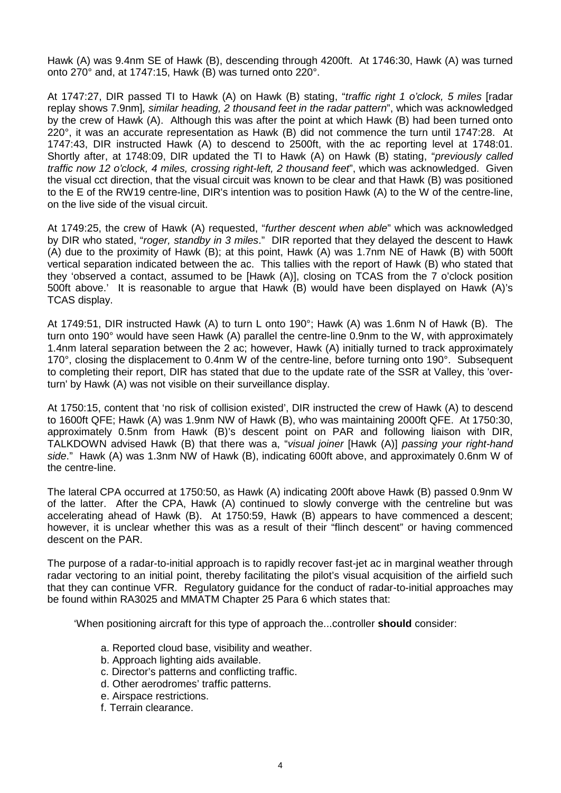Hawk (A) was 9.4nm SE of Hawk (B), descending through 4200ft. At 1746:30, Hawk (A) was turned onto 270° and, at 1747:15, Hawk (B) was turned onto 220°.

At 1747:27, DIR passed TI to Hawk (A) on Hawk (B) stating, "*traffic right 1 o'clock, 5 miles* [radar replay shows 7.9nm]*, similar heading, 2 thousand feet in the radar pattern*", which was acknowledged by the crew of Hawk (A). Although this was after the point at which Hawk (B) had been turned onto 220°, it was an accurate representation as Hawk (B) did not commence the turn until 1747:28. At 1747:43, DIR instructed Hawk (A) to descend to 2500ft, with the ac reporting level at 1748:01. Shortly after, at 1748:09, DIR updated the TI to Hawk (A) on Hawk (B) stating, "*previously called traffic now 12 o'clock, 4 miles, crossing right-left, 2 thousand feet*", which was acknowledged. Given the visual cct direction, that the visual circuit was known to be clear and that Hawk (B) was positioned to the E of the RW19 centre-line, DIR's intention was to position Hawk (A) to the W of the centre-line, on the live side of the visual circuit.

At 1749:25, the crew of Hawk (A) requested, "*further descent when able*" which was acknowledged by DIR who stated, "*roger, standby in 3 miles*." DIR reported that they delayed the descent to Hawk (A) due to the proximity of Hawk (B); at this point, Hawk (A) was 1.7nm NE of Hawk (B) with 500ft vertical separation indicated between the ac. This tallies with the report of Hawk (B) who stated that they 'observed a contact, assumed to be [Hawk (A)], closing on TCAS from the 7 o'clock position 500ft above.' It is reasonable to argue that Hawk (B) would have been displayed on Hawk (A)'s TCAS display.

At 1749:51, DIR instructed Hawk (A) to turn L onto 190°; Hawk (A) was 1.6nm N of Hawk (B). The turn onto 190° would have seen Hawk (A) parallel the centre-line 0.9nm to the W, with approximately 1.4nm lateral separation between the 2 ac; however, Hawk (A) initially turned to track approximately 170°, closing the displacement to 0.4nm W of the centre-line, before turning onto 190°. Subsequent to completing their report, DIR has stated that due to the update rate of the SSR at Valley, this 'overturn' by Hawk (A) was not visible on their surveillance display.

At 1750:15, content that 'no risk of collision existed', DIR instructed the crew of Hawk (A) to descend to 1600ft QFE; Hawk (A) was 1.9nm NW of Hawk (B), who was maintaining 2000ft QFE. At 1750:30, approximately 0.5nm from Hawk (B)'s descent point on PAR and following liaison with DIR, TALKDOWN advised Hawk (B) that there was a, "*visual joiner* [Hawk (A)] *passing your right-hand side*." Hawk (A) was 1.3nm NW of Hawk (B), indicating 600ft above, and approximately 0.6nm W of the centre-line.

The lateral CPA occurred at 1750:50, as Hawk (A) indicating 200ft above Hawk (B) passed 0.9nm W of the latter. After the CPA, Hawk (A) continued to slowly converge with the centreline but was accelerating ahead of Hawk (B). At 1750:59, Hawk (B) appears to have commenced a descent; however, it is unclear whether this was as a result of their "flinch descent" or having commenced descent on the PAR.

The purpose of a radar-to-initial approach is to rapidly recover fast-jet ac in marginal weather through radar vectoring to an initial point, thereby facilitating the pilot's visual acquisition of the airfield such that they can continue VFR. Regulatory guidance for the conduct of radar-to-initial approaches may be found within RA3025 and MMATM Chapter 25 Para 6 which states that:

'When positioning aircraft for this type of approach the...controller **should** consider:

- a. Reported cloud base, visibility and weather.
- b. Approach lighting aids available.
- c. Director's patterns and conflicting traffic.
- d. Other aerodromes' traffic patterns.
- e. Airspace restrictions.
- f. Terrain clearance.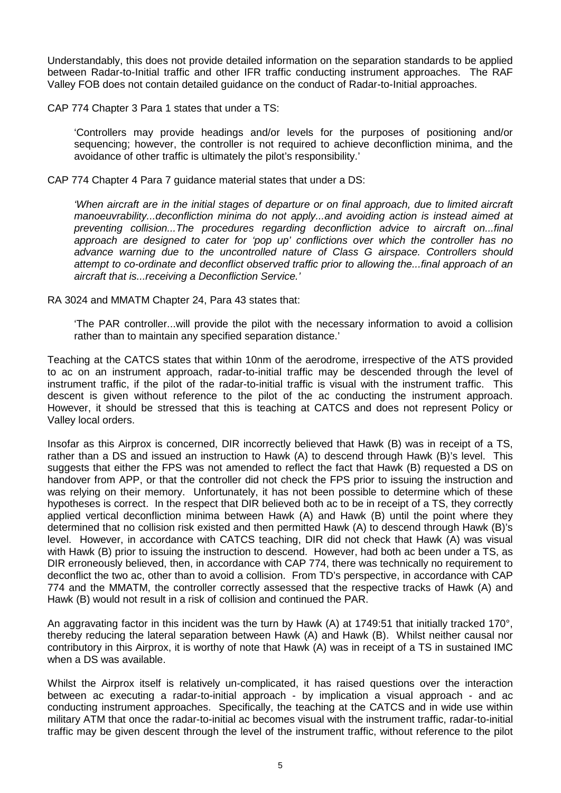Understandably, this does not provide detailed information on the separation standards to be applied between Radar-to-Initial traffic and other IFR traffic conducting instrument approaches. The RAF Valley FOB does not contain detailed guidance on the conduct of Radar-to-Initial approaches.

CAP 774 Chapter 3 Para 1 states that under a TS:

'Controllers may provide headings and/or levels for the purposes of positioning and/or sequencing; however, the controller is not required to achieve deconfliction minima, and the avoidance of other traffic is ultimately the pilot's responsibility.'

CAP 774 Chapter 4 Para 7 guidance material states that under a DS:

*'When aircraft are in the initial stages of departure or on final approach, due to limited aircraft manoeuvrability...deconfliction minima do not apply...and avoiding action is instead aimed at preventing collision...The procedures regarding deconfliction advice to aircraft on...final approach are designed to cater for 'pop up' conflictions over which the controller has no advance warning due to the uncontrolled nature of Class G airspace. Controllers should attempt to co-ordinate and deconflict observed traffic prior to allowing the...final approach of an aircraft that is...receiving a Deconfliction Service.'*

RA 3024 and MMATM Chapter 24, Para 43 states that:

'The PAR controller...will provide the pilot with the necessary information to avoid a collision rather than to maintain any specified separation distance.'

Teaching at the CATCS states that within 10nm of the aerodrome, irrespective of the ATS provided to ac on an instrument approach, radar-to-initial traffic may be descended through the level of instrument traffic, if the pilot of the radar-to-initial traffic is visual with the instrument traffic. This descent is given without reference to the pilot of the ac conducting the instrument approach. However, it should be stressed that this is teaching at CATCS and does not represent Policy or Valley local orders.

Insofar as this Airprox is concerned, DIR incorrectly believed that Hawk (B) was in receipt of a TS, rather than a DS and issued an instruction to Hawk (A) to descend through Hawk (B)'s level. This suggests that either the FPS was not amended to reflect the fact that Hawk (B) requested a DS on handover from APP, or that the controller did not check the FPS prior to issuing the instruction and was relying on their memory. Unfortunately, it has not been possible to determine which of these hypotheses is correct. In the respect that DIR believed both ac to be in receipt of a TS, they correctly applied vertical deconfliction minima between Hawk (A) and Hawk (B) until the point where they determined that no collision risk existed and then permitted Hawk (A) to descend through Hawk (B)'s level. However, in accordance with CATCS teaching, DIR did not check that Hawk (A) was visual with Hawk (B) prior to issuing the instruction to descend. However, had both ac been under a TS, as DIR erroneously believed, then, in accordance with CAP 774, there was technically no requirement to deconflict the two ac, other than to avoid a collision. From TD's perspective, in accordance with CAP 774 and the MMATM, the controller correctly assessed that the respective tracks of Hawk (A) and Hawk (B) would not result in a risk of collision and continued the PAR.

An aggravating factor in this incident was the turn by Hawk (A) at 1749:51 that initially tracked 170°, thereby reducing the lateral separation between Hawk (A) and Hawk (B). Whilst neither causal nor contributory in this Airprox, it is worthy of note that Hawk (A) was in receipt of a TS in sustained IMC when a DS was available.

Whilst the Airprox itself is relatively un-complicated, it has raised questions over the interaction between ac executing a radar-to-initial approach - by implication a visual approach - and ac conducting instrument approaches. Specifically, the teaching at the CATCS and in wide use within military ATM that once the radar-to-initial ac becomes visual with the instrument traffic, radar-to-initial traffic may be given descent through the level of the instrument traffic, without reference to the pilot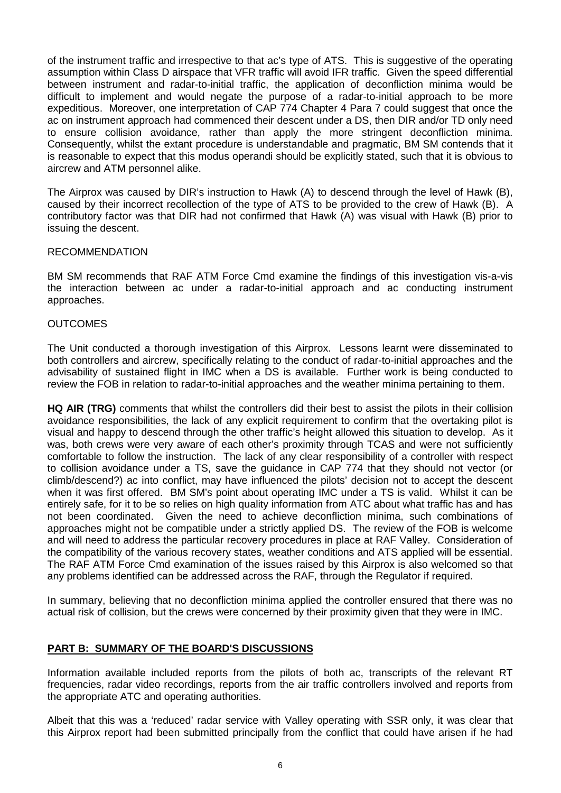of the instrument traffic and irrespective to that ac's type of ATS. This is suggestive of the operating assumption within Class D airspace that VFR traffic will avoid IFR traffic. Given the speed differential between instrument and radar-to-initial traffic, the application of deconfliction minima would be difficult to implement and would negate the purpose of a radar-to-initial approach to be more expeditious. Moreover, one interpretation of CAP 774 Chapter 4 Para 7 could suggest that once the ac on instrument approach had commenced their descent under a DS, then DIR and/or TD only need to ensure collision avoidance, rather than apply the more stringent deconfliction minima. Consequently, whilst the extant procedure is understandable and pragmatic, BM SM contends that it is reasonable to expect that this modus operandi should be explicitly stated, such that it is obvious to aircrew and ATM personnel alike.

The Airprox was caused by DIR's instruction to Hawk (A) to descend through the level of Hawk (B), caused by their incorrect recollection of the type of ATS to be provided to the crew of Hawk (B). A contributory factor was that DIR had not confirmed that Hawk (A) was visual with Hawk (B) prior to issuing the descent.

#### RECOMMENDATION

BM SM recommends that RAF ATM Force Cmd examine the findings of this investigation vis-a-vis the interaction between ac under a radar-to-initial approach and ac conducting instrument approaches.

#### **OUTCOMES**

The Unit conducted a thorough investigation of this Airprox. Lessons learnt were disseminated to both controllers and aircrew, specifically relating to the conduct of radar-to-initial approaches and the advisability of sustained flight in IMC when a DS is available. Further work is being conducted to review the FOB in relation to radar-to-initial approaches and the weather minima pertaining to them.

**HQ AIR (TRG)** comments that whilst the controllers did their best to assist the pilots in their collision avoidance responsibilities, the lack of any explicit requirement to confirm that the overtaking pilot is visual and happy to descend through the other traffic's height allowed this situation to develop. As it was, both crews were very aware of each other's proximity through TCAS and were not sufficiently comfortable to follow the instruction. The lack of any clear responsibility of a controller with respect to collision avoidance under a TS, save the guidance in CAP 774 that they should not vector (or climb/descend?) ac into conflict, may have influenced the pilots' decision not to accept the descent when it was first offered. BM SM's point about operating IMC under a TS is valid. Whilst it can be entirely safe, for it to be so relies on high quality information from ATC about what traffic has and has not been coordinated. Given the need to achieve deconfliction minima, such combinations of approaches might not be compatible under a strictly applied DS. The review of the FOB is welcome and will need to address the particular recovery procedures in place at RAF Valley. Consideration of the compatibility of the various recovery states, weather conditions and ATS applied will be essential. The RAF ATM Force Cmd examination of the issues raised by this Airprox is also welcomed so that any problems identified can be addressed across the RAF, through the Regulator if required.

In summary, believing that no deconfliction minima applied the controller ensured that there was no actual risk of collision, but the crews were concerned by their proximity given that they were in IMC.

## **PART B: SUMMARY OF THE BOARD'S DISCUSSIONS**

Information available included reports from the pilots of both ac, transcripts of the relevant RT frequencies, radar video recordings, reports from the air traffic controllers involved and reports from the appropriate ATC and operating authorities.

Albeit that this was a 'reduced' radar service with Valley operating with SSR only, it was clear that this Airprox report had been submitted principally from the conflict that could have arisen if he had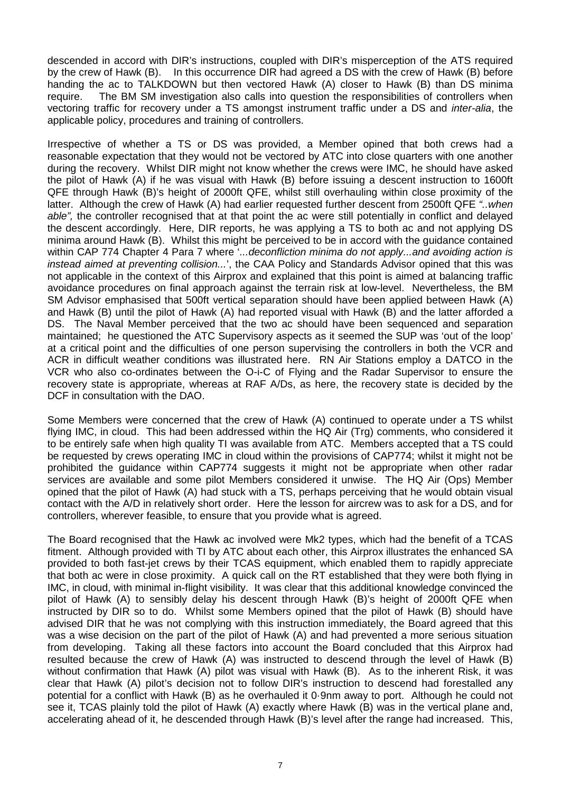descended in accord with DIR's instructions, coupled with DIR's misperception of the ATS required by the crew of Hawk (B). In this occurrence DIR had agreed a DS with the crew of Hawk (B) before handing the ac to TALKDOWN but then vectored Hawk (A) closer to Hawk (B) than DS minima require. The BM SM investigation also calls into question the responsibilities of controllers when vectoring traffic for recovery under a TS amongst instrument traffic under a DS and *inter-alia*, the applicable policy, procedures and training of controllers.

Irrespective of whether a TS or DS was provided, a Member opined that both crews had a reasonable expectation that they would not be vectored by ATC into close quarters with one another during the recovery. Whilst DIR might not know whether the crews were IMC, he should have asked the pilot of Hawk (A) if he was visual with Hawk (B) before issuing a descent instruction to 1600ft QFE through Hawk (B)'s height of 2000ft QFE, whilst still overhauling within close proximity of the latter. Although the crew of Hawk (A) had earlier requested further descent from 2500ft QFE *"..when able",* the controller recognised that at that point the ac were still potentially in conflict and delayed the descent accordingly. Here, DIR reports, he was applying a TS to both ac and not applying DS minima around Hawk (B). Whilst this might be perceived to be in accord with the guidance contained within CAP 774 Chapter 4 Para 7 where '*...deconfliction minima do not apply...and avoiding action is instead aimed at preventing collision...*', the CAA Policy and Standards Advisor opined that this was not applicable in the context of this Airprox and explained that this point is aimed at balancing traffic avoidance procedures on final approach against the terrain risk at low-level. Nevertheless, the BM SM Advisor emphasised that 500ft vertical separation should have been applied between Hawk (A) and Hawk (B) until the pilot of Hawk (A) had reported visual with Hawk (B) and the latter afforded a DS. The Naval Member perceived that the two ac should have been sequenced and separation maintained; he questioned the ATC Supervisory aspects as it seemed the SUP was 'out of the loop' at a critical point and the difficulties of one person supervising the controllers in both the VCR and ACR in difficult weather conditions was illustrated here. RN Air Stations employ a DATCO in the VCR who also co-ordinates between the O-i-C of Flying and the Radar Supervisor to ensure the recovery state is appropriate, whereas at RAF A/Ds, as here, the recovery state is decided by the DCF in consultation with the DAO.

Some Members were concerned that the crew of Hawk (A) continued to operate under a TS whilst flying IMC, in cloud. This had been addressed within the HQ Air (Trg) comments, who considered it to be entirely safe when high quality TI was available from ATC. Members accepted that a TS could be requested by crews operating IMC in cloud within the provisions of CAP774; whilst it might not be prohibited the guidance within CAP774 suggests it might not be appropriate when other radar services are available and some pilot Members considered it unwise. The HQ Air (Ops) Member opined that the pilot of Hawk (A) had stuck with a TS, perhaps perceiving that he would obtain visual contact with the A/D in relatively short order. Here the lesson for aircrew was to ask for a DS, and for controllers, wherever feasible, to ensure that you provide what is agreed.

The Board recognised that the Hawk ac involved were Mk2 types, which had the benefit of a TCAS fitment. Although provided with TI by ATC about each other, this Airprox illustrates the enhanced SA provided to both fast-jet crews by their TCAS equipment, which enabled them to rapidly appreciate that both ac were in close proximity. A quick call on the RT established that they were both flying in IMC, in cloud, with minimal in-flight visibility. It was clear that this additional knowledge convinced the pilot of Hawk (A) to sensibly delay his descent through Hawk (B)'s height of 2000ft QFE when instructed by DIR so to do. Whilst some Members opined that the pilot of Hawk (B) should have advised DIR that he was not complying with this instruction immediately, the Board agreed that this was a wise decision on the part of the pilot of Hawk (A) and had prevented a more serious situation from developing. Taking all these factors into account the Board concluded that this Airprox had resulted because the crew of Hawk (A) was instructed to descend through the level of Hawk (B) without confirmation that Hawk (A) pilot was visual with Hawk (B). As to the inherent Risk, it was clear that Hawk (A) pilot's decision not to follow DIR's instruction to descend had forestalled any potential for a conflict with Hawk (B) as he overhauled it 0·9nm away to port. Although he could not see it, TCAS plainly told the pilot of Hawk (A) exactly where Hawk (B) was in the vertical plane and, accelerating ahead of it, he descended through Hawk (B)'s level after the range had increased. This,